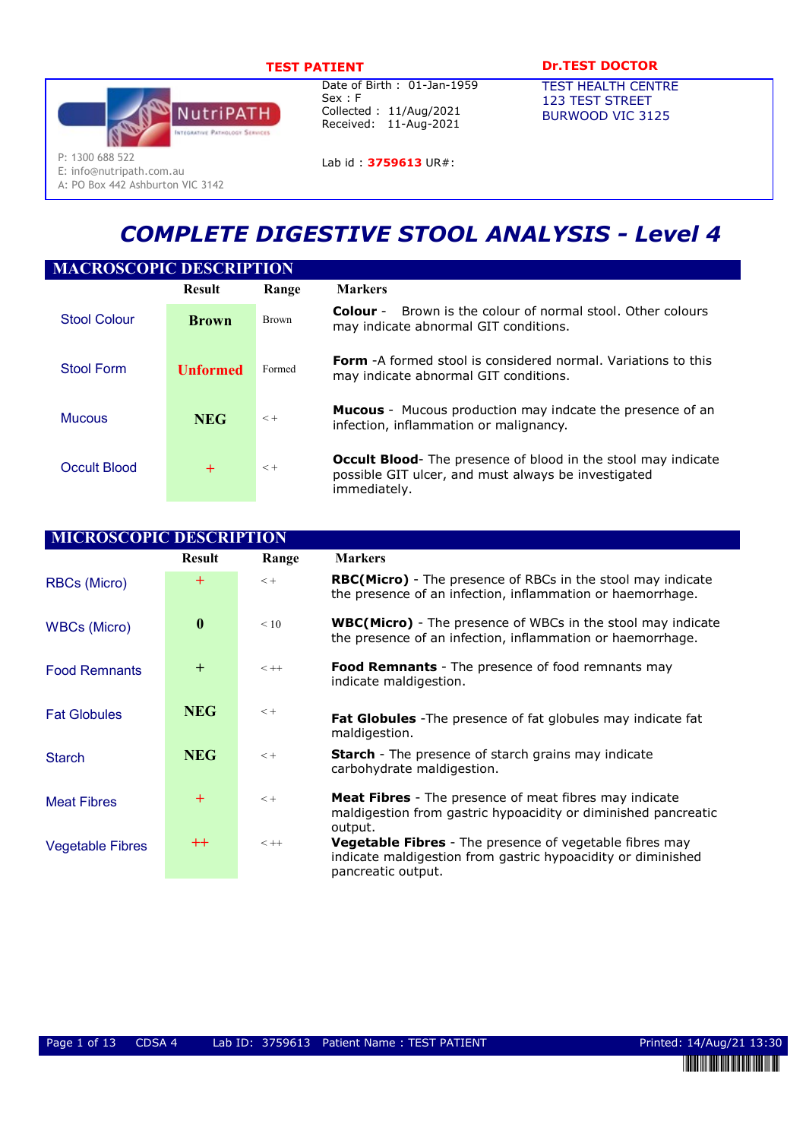

E: info@nutripath.com.au A: PO Box 442 Ashburton VIC 3142

Date of Birth : 01-Jan-1959 Sex : F Collected : 11/Aug/2021 Received: 11-Aug-2021

# TEST PATIENT DESCRIPTION DESCRIPTION OF THE DESCRIPTION OF THE PATIENT OF THE PATIENT OF THE PATIENT OF THE PATIENT OF THE PATIENT OF THE PATIENT OF THE PATIENT OF THE PATIENT OF THE PATIENT OF THE PATIENT OF THE PATIENT O

TEST HEALTH CENTRE 123 TEST STREET BURWOOD VIC 3125

Lab id: 3759613 UR#:

# COMPLETE DIGESTIVE STOOL ANALYSIS - Level 4

| <b>MACROSCOPIC DESCRIPTION</b> |                 |              |                                                                                                                                             |  |  |  |
|--------------------------------|-----------------|--------------|---------------------------------------------------------------------------------------------------------------------------------------------|--|--|--|
|                                | <b>Result</b>   | Range        | <b>Markers</b>                                                                                                                              |  |  |  |
| <b>Stool Colour</b>            | <b>Brown</b>    | <b>Brown</b> | Brown is the colour of normal stool. Other colours<br>Colour -<br>may indicate abnormal GIT conditions.                                     |  |  |  |
| Stool Form                     | <b>Unformed</b> | Formed       | <b>Form</b> -A formed stool is considered normal. Variations to this<br>may indicate abnormal GIT conditions.                               |  |  |  |
| <b>Mucous</b>                  | <b>NEG</b>      | $< +$        | <b>Mucous</b> - Mucous production may indcate the presence of an<br>infection, inflammation or malignancy.                                  |  |  |  |
| Occult Blood                   | $+$             | $< +$        | <b>Occult Blood-</b> The presence of blood in the stool may indicate<br>possible GIT ulcer, and must always be investigated<br>immediately. |  |  |  |

| <b>MICROSCOPIC DESCRIPTION</b> |                  |         |                                                                                                                                                      |
|--------------------------------|------------------|---------|------------------------------------------------------------------------------------------------------------------------------------------------------|
|                                | <b>Result</b>    | Range   | <b>Markers</b>                                                                                                                                       |
| <b>RBCs (Micro)</b>            | $^{+}$           | $< +$   | <b>RBC(Micro)</b> - The presence of RBCs in the stool may indicate<br>the presence of an infection, inflammation or haemorrhage.                     |
| <b>WBCs (Micro)</b>            | $\boldsymbol{0}$ | < 10    | <b>WBC(Micro)</b> - The presence of WBCs in the stool may indicate<br>the presence of an infection, inflammation or haemorrhage.                     |
| <b>Food Remnants</b>           | $+$              | $< + +$ | <b>Food Remnants</b> - The presence of food remnants may<br>indicate maldigestion.                                                                   |
| <b>Fat Globules</b>            | <b>NEG</b>       | $< +$   | <b>Fat Globules</b> - The presence of fat globules may indicate fat<br>maldigestion.                                                                 |
| <b>Starch</b>                  | <b>NEG</b>       | $< +$   | <b>Starch</b> - The presence of starch grains may indicate<br>carbohydrate maldigestion.                                                             |
| <b>Meat Fibres</b>             | $^{+}$           | $< +$   | <b>Meat Fibres</b> - The presence of meat fibres may indicate<br>maldigestion from gastric hypoacidity or diminished pancreatic<br>output.           |
| <b>Vegetable Fibres</b>        | $^{++}$          | $<++$   | <b>Vegetable Fibres</b> - The presence of vegetable fibres may<br>indicate maldigestion from gastric hypoacidity or diminished<br>pancreatic output. |

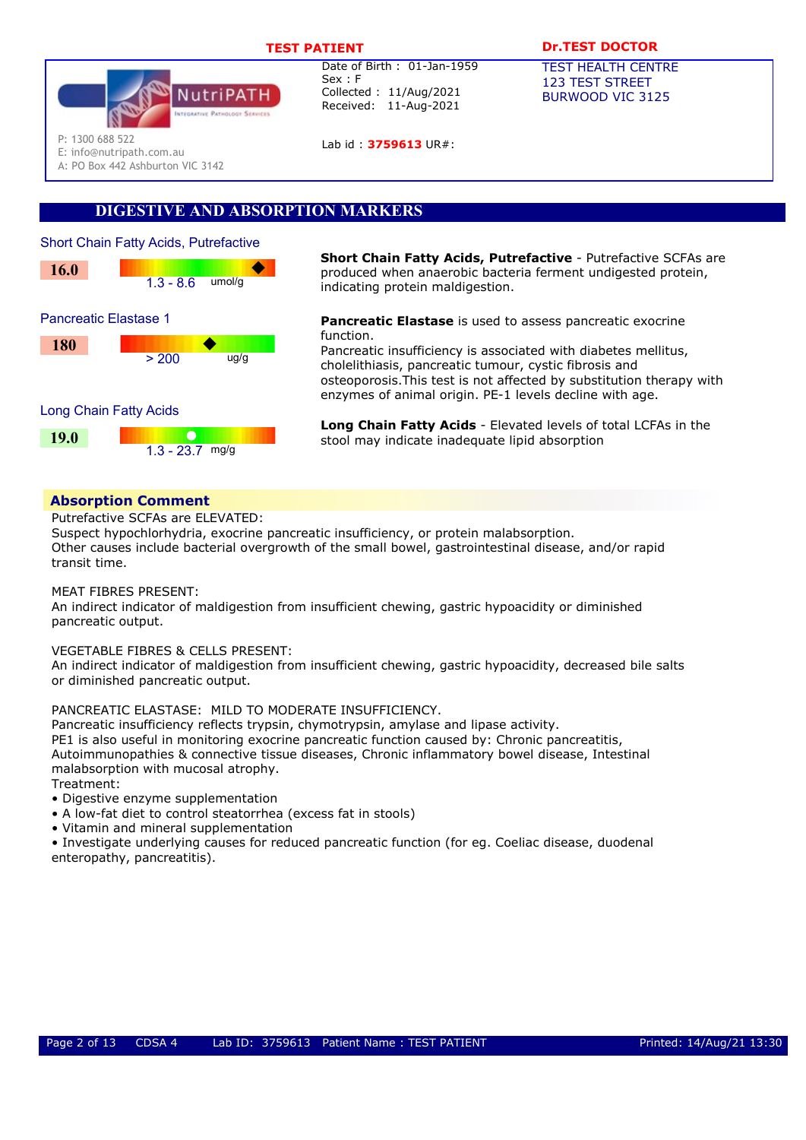

Lab id : 3759613 UR#:

# TEST PATIENT **DR.TEST DOCTOR**

TEST HEALTH CENTRE 123 TEST STREET BURWOOD VIC 3125

P: 1300 688 522

E: info@nutripath.com.au

A: PO Box 442 Ashburton VIC 3142

# DIGESTIVE AND ABSORPTION MARKERS



**Short Chain Fatty Acids, Putrefactive -** Putrefactive SCFAs are<br>**16.0 Short Chain Fatty Acids, Putrefactive -** Putrefactive SCFAs are produced when anaerobic bacteria ferment undigested protein produced when anaerobic bacteria ferment undigested protein, indicating protein maldigestion.

> Pancreatic Elastase is used to assess pancreatic exocrine function.

Pancreatic insufficiency is associated with diabetes mellitus, cholelithiasis, pancreatic tumour, cystic fibrosis and osteoporosis.This test is not affected by substitution therapy with enzymes of animal origin. PE-1 levels decline with age.

Long Chain Fatty Acids - Elevated levels of total LCFAs in the stool may indicate inadequate lipid absorption

# Absorption Comment

Putrefactive SCFAs are ELEVATED:

Suspect hypochlorhydria, exocrine pancreatic insufficiency, or protein malabsorption. Other causes include bacterial overgrowth of the small bowel, gastrointestinal disease, and/or rapid transit time.

MEAT FIBRES PRESENT:

An indirect indicator of maldigestion from insufficient chewing, gastric hypoacidity or diminished pancreatic output.

VEGETABLE FIBRES & CELLS PRESENT:

An indirect indicator of maldigestion from insufficient chewing, gastric hypoacidity, decreased bile salts or diminished pancreatic output.

PANCREATIC ELASTASE: MILD TO MODERATE INSUFFICIENCY.

Pancreatic insufficiency reflects trypsin, chymotrypsin, amylase and lipase activity. PE1 is also useful in monitoring exocrine pancreatic function caused by: Chronic pancreatitis, Autoimmunopathies & connective tissue diseases, Chronic inflammatory bowel disease, Intestinal malabsorption with mucosal atrophy. Treatment:

• Digestive enzyme supplementation

- A low-fat diet to control steatorrhea (excess fat in stools)
- Vitamin and mineral supplementation

• Investigate underlying causes for reduced pancreatic function (for eg. Coeliac disease, duodenal enteropathy, pancreatitis).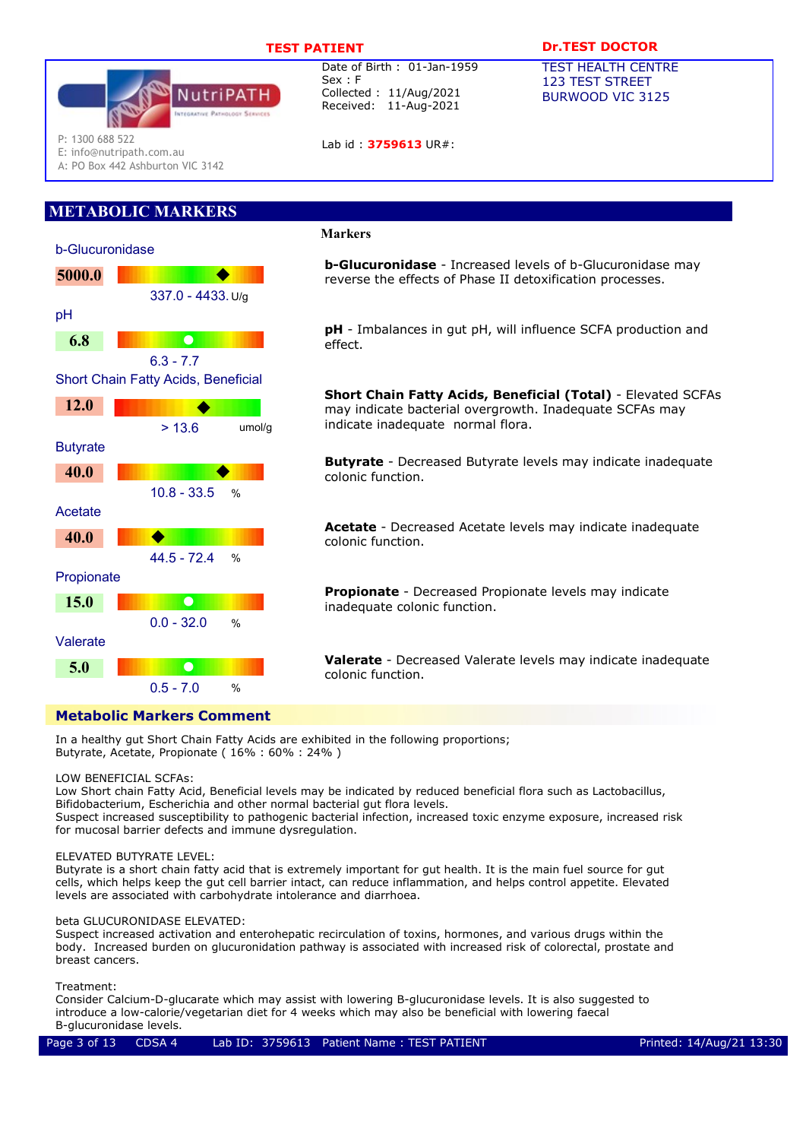

Lab id: 3759613 UR#:

# TEST PATIENT **DR.TEST DOCTOR**

TEST HEALTH CENTRE 123 TEST STREET BURWOOD VIC 3125

P: 1300 688 522

E: info@nutripath.com.au

A: PO Box 442 Ashburton VIC 3142

# METABOLIC MARKERS



# Markers

**b-Glucuronidase** - Increased levels of b-Glucuronidase may reverse the effects of Phase II detoxification processes.

pH - Imbalances in gut pH, will influence SCFA production and effect.

Short Chain Fatty Acids, Beneficial (Total) - Elevated SCFAs may indicate bacterial overgrowth. Inadequate SCFAs may indicate inadequate normal flora.

**Butyrate** - Decreased Butyrate levels may indicate inadequate colonic function.

Acetate - Decreased Acetate levels may indicate inadequate colonic function.

Propionate - Decreased Propionate levels may indicate inadequate colonic function.

Valerate - Decreased Valerate levels may indicate inadequate colonic function.

In a healthy gut Short Chain Fatty Acids are exhibited in the following proportions; Butyrate, Acetate, Propionate ( 16% : 60% : 24% )

## LOW BENEFICIAL SCFAs:

Low Short chain Fatty Acid, Beneficial levels may be indicated by reduced beneficial flora such as Lactobacillus, Bifidobacterium, Escherichia and other normal bacterial gut flora levels.

Suspect increased susceptibility to pathogenic bacterial infection, increased toxic enzyme exposure, increased risk for mucosal barrier defects and immune dysregulation.

## ELEVATED BUTYRATE LEVEL:

Butyrate is a short chain fatty acid that is extremely important for gut health. It is the main fuel source for gut cells, which helps keep the gut cell barrier intact, can reduce inflammation, and helps control appetite. Elevated levels are associated with carbohydrate intolerance and diarrhoea.

## beta GLUCURONIDASE ELEVATED:

Suspect increased activation and enterohepatic recirculation of toxins, hormones, and various drugs within the body. Increased burden on glucuronidation pathway is associated with increased risk of colorectal, prostate and breast cancers.

## Treatment:

Consider Calcium-D-glucarate which may assist with lowering B-glucuronidase levels. It is also suggested to introduce a low-calorie/vegetarian diet for 4 weeks which may also be beneficial with lowering faecal B-glucuronidase levels.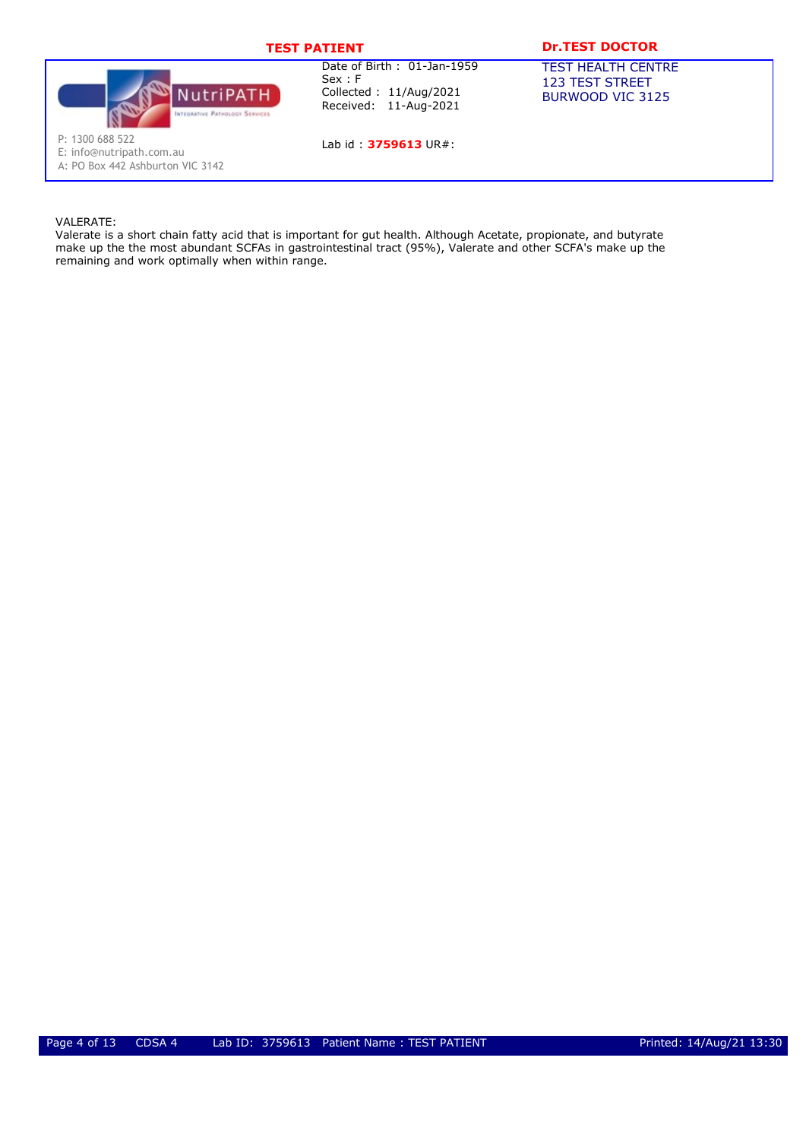# TEST PATIENT DESCRIPTION DESCRIPTION OF THE PATTENT OF THE PATTENT OF THE PATTENT OF THE PATTENT OF THE PATTENT



Date of Birth : 01-Jan-1959 Sex : F Collected : 11/Aug/2021 Received: 11-Aug-2021

Lab id: 3759613 UR#:

TEST HEALTH CENTRE 123 TEST STREET

BURWOOD VIC 3125

P: 1300 688 522

E: info@nutripath.com.au

A: PO Box 442 Ashburton VIC 3142

## VALERATE:

Valerate is a short chain fatty acid that is important for gut health. Although Acetate, propionate, and butyrate make up the the most abundant SCFAs in gastrointestinal tract (95%), Valerate and other SCFA's make up the remaining and work optimally when within range.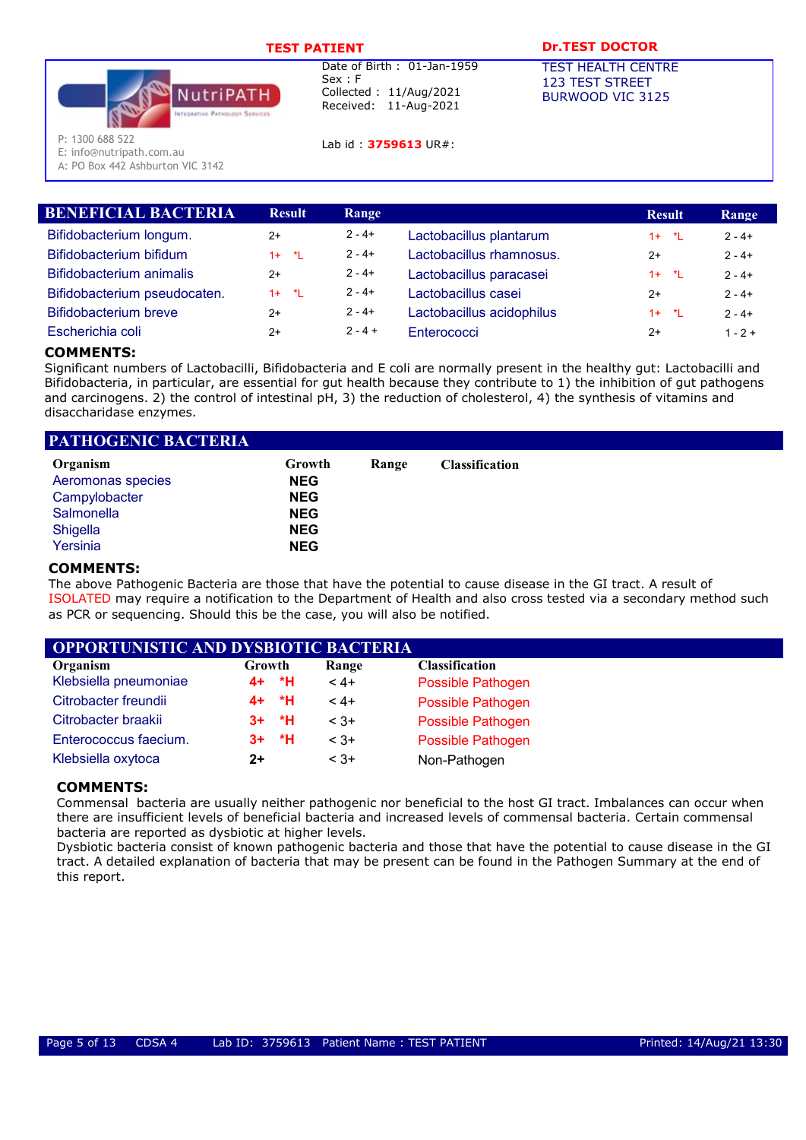

Lab id : 3759613 UR#:

# TEST PATIENT **DR.TEST DOCTOR**

TEST HEALTH CENTRE 123 TEST STREET BURWOOD VIC 3125

P: 1300 688 522

E: info@nutripath.com.au

A: PO Box 442 Ashburton VIC 3142

| <b>Result</b> | Range     |                           | <b>Result</b> | Range     |
|---------------|-----------|---------------------------|---------------|-----------|
| $2+$          | $2 - 4 +$ | Lactobacillus plantarum   | $1 + 1$       | $2 - 4 +$ |
| $1 + *L$      | $2 - 4 +$ | Lactobacillus rhamnosus.  | $2+$          | $2 - 4 +$ |
| $2+$          | $2 - 4 +$ | Lactobacillus paracasei   | $1 + *L$      | $2 - 4 +$ |
| $1 + *L$      | $2 - 4 +$ | Lactobacillus casei       | $2+$          | $2 - 4 +$ |
| $2+$          | $2 - 4 +$ | Lactobacillus acidophilus | $1 + 1$       | $2 - 4 +$ |
| $2+$          | $2 - 4 +$ | Enterococci               | $2+$          | $1 - 2 +$ |
|               |           |                           |               |           |

# COMMENTS:

Significant numbers of Lactobacilli, Bifidobacteria and E coli are normally present in the healthy gut: Lactobacilli and Bifidobacteria, in particular, are essential for gut health because they contribute to 1) the inhibition of gut pathogens and carcinogens. 2) the control of intestinal pH, 3) the reduction of cholesterol, 4) the synthesis of vitamins and disaccharidase enzymes.

| PATHOGENIC BACTERIA |            |       |                       |  |
|---------------------|------------|-------|-----------------------|--|
| Organism            | Growth     | Range | <b>Classification</b> |  |
| Aeromonas species   | <b>NEG</b> |       |                       |  |
| Campylobacter       | <b>NEG</b> |       |                       |  |
| Salmonella          | <b>NEG</b> |       |                       |  |
| Shigella            | <b>NEG</b> |       |                       |  |
| Yersinia            | <b>NEG</b> |       |                       |  |

## COMMENTS:

The above Pathogenic Bacteria are those that have the potential to cause disease in the GI tract. A result of ISOLATED may require a notification to the Department of Health and also cross tested via a secondary method such as PCR or sequencing. Should this be the case, you will also be notified.

| <b>OPPORTUNISTIC AND DYSBIOTIC BACTERIA</b> |        |         |        |                       |  |
|---------------------------------------------|--------|---------|--------|-----------------------|--|
| Organism                                    | Growth |         | Range  | <b>Classification</b> |  |
| Klebsiella pneumoniae                       |        | 4+ *H   | $4 +$  | Possible Pathogen     |  |
| Citrobacter freundii                        |        | 4+ *H   | $4 +$  | Possible Pathogen     |  |
| Citrobacter braakii                         |        | $3+ *H$ | $< 3+$ | Possible Pathogen     |  |
| Enterococcus faecium.                       |        | $3+$ *H | $< 3+$ | Possible Pathogen     |  |
| Klebsiella oxytoca                          | 2+     |         | $3+$   | Non-Pathogen          |  |

# COMMENTS:

Commensal bacteria are usually neither pathogenic nor beneficial to the host GI tract. Imbalances can occur when there are insufficient levels of beneficial bacteria and increased levels of commensal bacteria. Certain commensal bacteria are reported as dysbiotic at higher levels.

Dysbiotic bacteria consist of known pathogenic bacteria and those that have the potential to cause disease in the GI tract. A detailed explanation of bacteria that may be present can be found in the Pathogen Summary at the end of this report.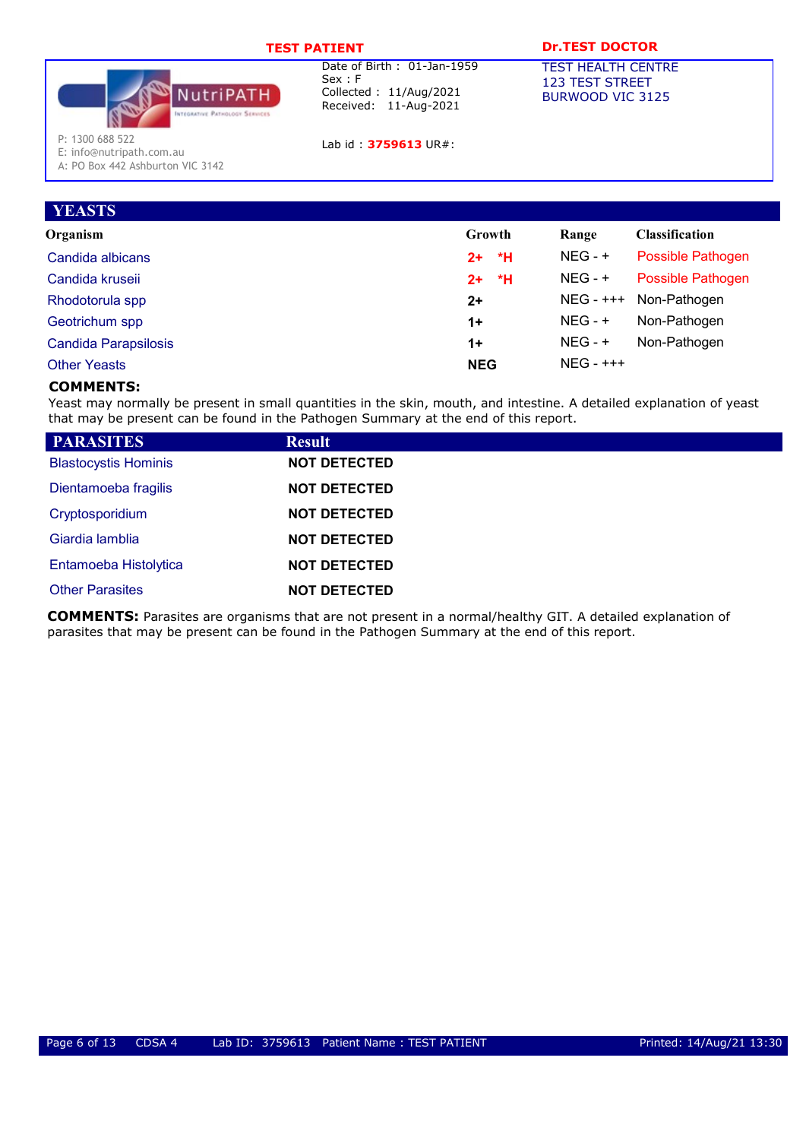| <b>TEST PATIENT</b>                                                             | <b>Dr.TEST DOCTOR</b>                                                                    |                                                                         |
|---------------------------------------------------------------------------------|------------------------------------------------------------------------------------------|-------------------------------------------------------------------------|
| VutriPATH<br><b>INTEGRATIVE PATHOLOGY SERVICES</b>                              | Date of Birth: 01-Jan-1959<br>Sex : F<br>Collected: 11/Aug/2021<br>Received: 11-Aug-2021 | <b>TEST HEALTH CENTRE</b><br><b>123 TEST STREET</b><br>BURWOOD VIC 3125 |
| P: 1300 688 522<br>E: info@nutripath.com.au<br>A: PO Box 442 Ashburton VIC 3142 | Lab id: 3759613 UR#:                                                                     |                                                                         |

Organism Growth Range Classification

Candida albicans **2+ \*H** NEG - + Possible Pathogen Candida kruseii 2+ \*H NEG - + Possible Pathogen Rhodotorula spp **2+** NEG - +++ Non-Pathogen Geotrichum spp **1+** NEG - + Non-Pathogen Candida Parapsilosis **1+** NEG - + Non-Pathogen

# Other Yeasts NEG NEG - +++

# COMMENTS:

**YEASTS** 

Yeast may normally be present in small quantities in the skin, mouth, and intestine. A detailed explanation of yeast that may be present can be found in the Pathogen Summary at the end of this report.

| <b>PARASITES</b>            | <b>Result</b>       |  |
|-----------------------------|---------------------|--|
| <b>Blastocystis Hominis</b> | <b>NOT DETECTED</b> |  |
| Dientamoeba fragilis        | <b>NOT DETECTED</b> |  |
| Cryptosporidium             | <b>NOT DETECTED</b> |  |
| Giardia lamblia             | <b>NOT DETECTED</b> |  |
| Entamoeba Histolytica       | <b>NOT DETECTED</b> |  |
| <b>Other Parasites</b>      | <b>NOT DETECTED</b> |  |

COMMENTS: Parasites are organisms that are not present in a normal/healthy GIT. A detailed explanation of parasites that may be present can be found in the Pathogen Summary at the end of this report.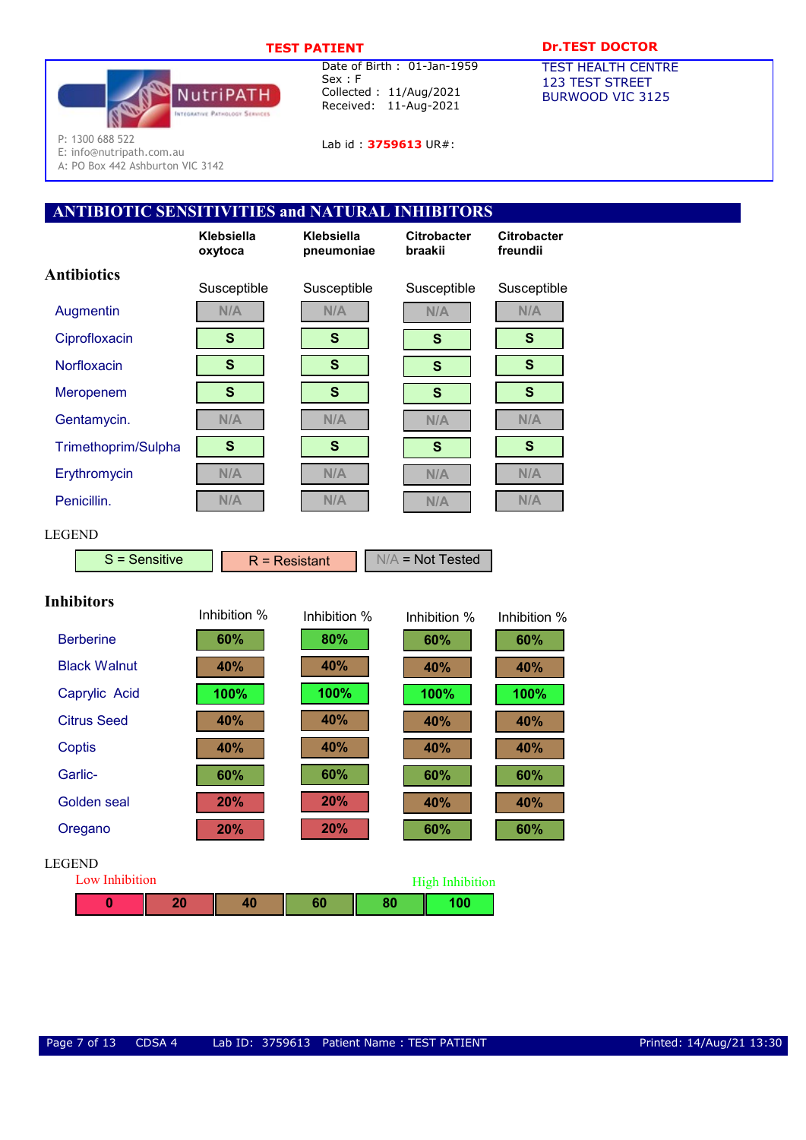

Lab id: **3759613** UR#:

# TEST PATIENT DESCRIPTION DESCRIPTION OF THE PATTENT OF THE PATTENT OF THE PATTENT OF THE PATTENT OF THE PATTENT

TEST HEALTH CENTRE 123 TEST STREET BURWOOD VIC 3125

P: 1300 688 522

E: info@nutripath.com.au A: PO Box 442 Ashburton VIC 3142

# ANTIBIOTIC SENSITIVITIES and NATURAL INHIBITORS

|                          | Klebsiella<br>oxytoca | Klebsiella<br>pneumoniae | <b>Citrobacter</b><br>braakii | <b>Citrobacter</b><br>freundii |
|--------------------------|-----------------------|--------------------------|-------------------------------|--------------------------------|
| <b>Antibiotics</b>       | Susceptible           | Susceptible              | Susceptible                   | Susceptible                    |
| Augmentin                | N/A                   | N/A                      | N/A                           | N/A                            |
| Ciprofloxacin            | $\mathbf{s}$          | $\mathbf s$              | $\mathbf{s}$                  | $\mathbf{s}$                   |
| Norfloxacin              | $\mathbf{s}$          | $\mathbf{s}$             | $\mathbf{s}$                  | $\mathbf{s}$                   |
| Meropenem                | S                     | $\mathbf{s}$             | $\mathbf{s}$                  | $\mathbf{s}$                   |
| Gentamycin.              | N/A                   | N/A                      | N/A                           | N/A                            |
| Trimethoprim/Sulpha      | S                     | $\mathbf{s}$             | $\mathbf{s}$                  | $\mathbf{s}$                   |
| Erythromycin             | N/A                   | N/A                      | N/A                           | N/A                            |
| Penicillin.              | N/A                   | N/A                      | N/A                           | N/A                            |
| LEGEND<br>S = Sensitive  | $R =$ Resistant       |                          | $N/A$ = Not Tested            |                                |
| <b>Inhibitors</b>        | Inhibition %          | Inhibition %             | Inhibition %                  | Inhibition %                   |
| <b>Berberine</b>         | 60%                   | 80%                      | 60%                           | 60%                            |
| <b>Black Walnut</b>      | 40%                   | 40%                      | 40%                           | 40%                            |
| Caprylic Acid            | 100%                  | 100%                     | 100%                          | 100%                           |
| <b>Citrus Seed</b>       | 40%                   | 40%                      | 40%                           | 40%                            |
| <b>Coptis</b>            | 40%                   | 40%                      | 40%                           | 40%                            |
| Garlic-                  | 60%                   | 60%                      | 60%                           | 60%                            |
| <b>Golden</b> seal       | 20%                   | 20%                      | 40%                           | 40%                            |
| Oregano                  | 20%                   | 20%                      | 60%                           | 60%                            |
| LEGEND<br>Low Inhibition |                       |                          | High Inhibition               |                                |

| Low Inhibition<br>High Inhibition |  |  |  |    |     |  |
|-----------------------------------|--|--|--|----|-----|--|
|                                   |  |  |  | 80 | 100 |  |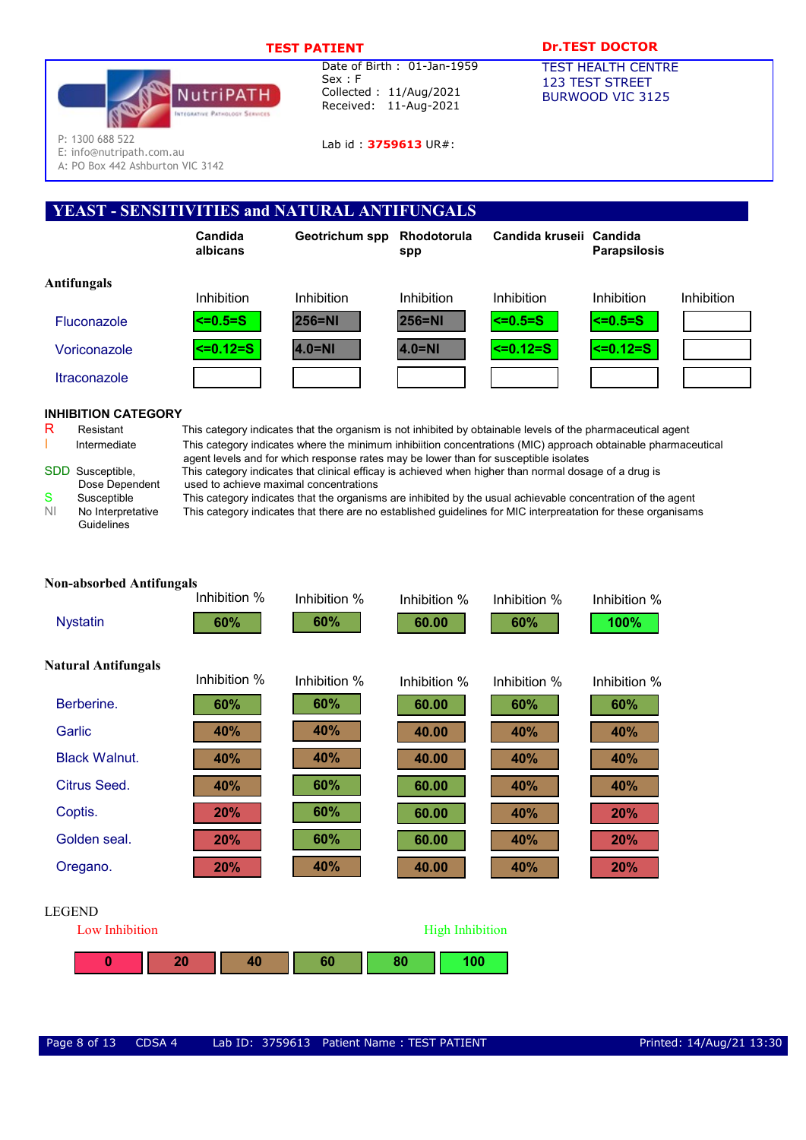

Lab id: 3759613 UR#:

# TEST PATIENT **DESAULT DREST DOCTOR**

TEST HEALTH CENTRE 123 TEST STREET BURWOOD VIC 3125

P: 1300 688 522

E: info@nutripath.com.au

A: PO Box 442 Ashburton VIC 3142

# YEAST - SENSITIVITIES and NATURAL ANTIFUNGALS



# INHIBITION CATEGORY

|   | SDD Susceptible, |
|---|------------------|
|   | Dose Dependent   |
| e | Cussantible      |

| s  | Susceptible       |
|----|-------------------|
| ΝI | No Interpretative |
|    | Guidelines        |

R Resistant This category indicates that the organism is not inhibited by obtainable levels of the pharmaceutical agent Intermediate This category indicates where the minimum inhibiition concentrations (MIC) approach obtainable pharmaceutical agent levels and for which response rates may be lower than for susceptible isolates

This category indicates that clinical efficay is achieved when higher than normal dosage of a drug is used to achieve maximal concentrations

This category indicates that the organisms are inhibited by the usual achievable concentration of the agent e This category indicates that there are no established guidelines for MIC interpreatation for these organisams

| <b>Non-absorbed Antifungals</b> |              |              |                        |              |              |
|---------------------------------|--------------|--------------|------------------------|--------------|--------------|
|                                 | Inhibition % | Inhibition % | Inhibition %           | Inhibition % | Inhibition % |
| <b>Nystatin</b>                 | 60%          | 60%          | 60.00                  | 60%          | 100%         |
| <b>Natural Antifungals</b>      |              |              |                        |              |              |
|                                 | Inhibition % | Inhibition % | Inhibition %           | Inhibition % | Inhibition % |
| Berberine.                      | 60%          | 60%          | 60.00                  | 60%          | 60%          |
| Garlic                          | 40%          | 40%          | 40.00                  | 40%          | 40%          |
| <b>Black Walnut.</b>            | 40%          | 40%          | 40.00                  | 40%          | 40%          |
| Citrus Seed.                    | 40%          | 60%          | 60.00                  | 40%          | 40%          |
| Coptis.                         | 20%          | 60%          | 60.00                  | 40%          | 20%          |
| Golden seal.                    | 20%          | 60%          | 60.00                  | 40%          | 20%          |
| Oregano.                        | 20%          | 40%          | 40.00                  | 40%          | 20%          |
| <b>LEGEND</b>                   |              |              |                        |              |              |
| Low Inhibition                  |              |              | <b>High Inhibition</b> |              |              |

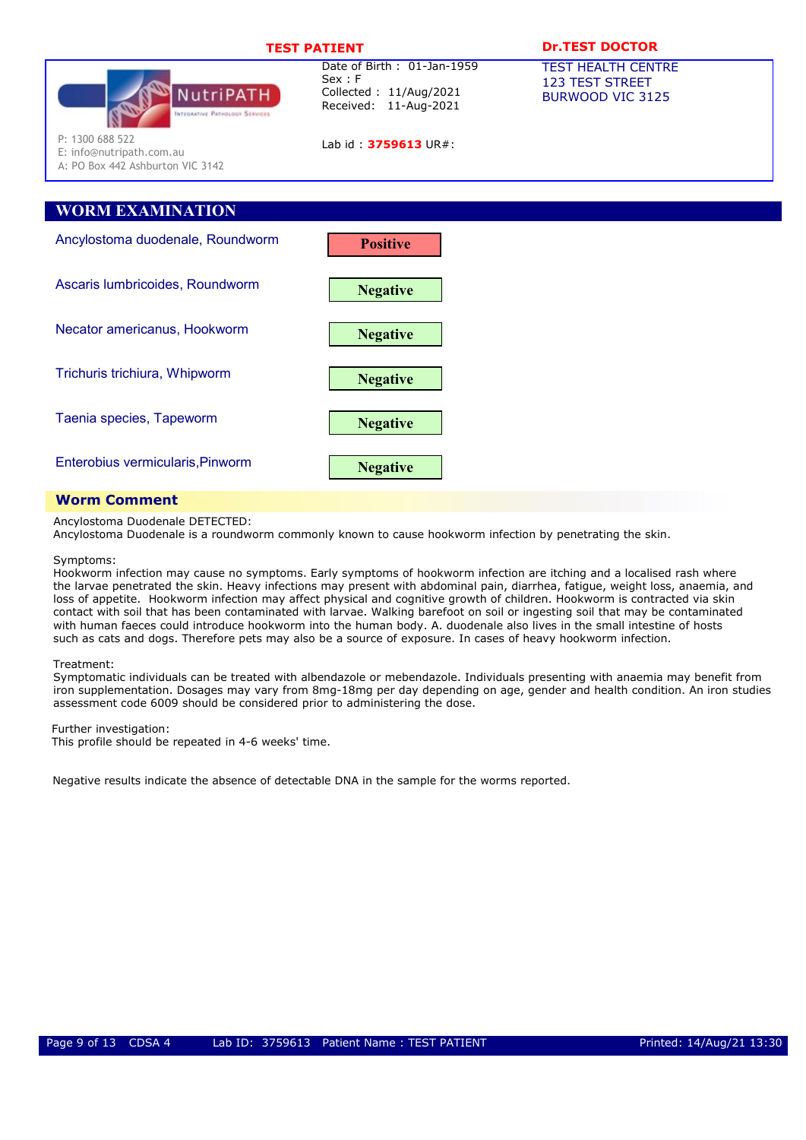| <b>NutriPATH</b><br><b>INTEGRATIVE PATHOLOGY SERVICES</b>                       | Date of Birth: 01-Jan-1959<br>Sex : F<br>Collected: 11/Aug/2021<br>Received: 11-Aug-2021 | <b>TEST HEALTH CENTRE</b><br><b>123 TEST STREET</b><br>BURWOOD VIC 3125 |
|---------------------------------------------------------------------------------|------------------------------------------------------------------------------------------|-------------------------------------------------------------------------|
| P: 1300 688 522<br>E: info@nutripath.com.au<br>A: PO Box 442 Ashburton VIC 3142 | Lab id: 3759613 UR#:                                                                     |                                                                         |
| <b>WORM EXAMINATION</b>                                                         |                                                                                          |                                                                         |
|                                                                                 |                                                                                          |                                                                         |
| Ancylostoma duodenale, Roundworm                                                | <b>Positive</b>                                                                          |                                                                         |
| Ascaris lumbricoides, Roundworm                                                 | <b>Negative</b>                                                                          |                                                                         |
| Necator americanus, Hookworm                                                    | <b>Negative</b>                                                                          |                                                                         |
| Trichuris trichiura, Whipworm                                                   | <b>Negative</b>                                                                          |                                                                         |
| Taenia species, Tapeworm                                                        | <b>Negative</b>                                                                          |                                                                         |
| Enterobius vermicularis, Pinworm                                                | <b>Negative</b>                                                                          |                                                                         |

TEST PATIENT Dr.TEST DOCTOR

# Worm Comment

Ancylostoma Duodenale DETECTED:

Ancylostoma Duodenale is a roundworm commonly known to cause hookworm infection by penetrating the skin.

Symptoms:

 Hookworm infection may cause no symptoms. Early symptoms of hookworm infection are itching and a localised rash where the larvae penetrated the skin. Heavy infections may present with abdominal pain, diarrhea, fatigue, weight loss, anaemia, and loss of appetite. Hookworm infection may affect physical and cognitive growth of children. Hookworm is contracted via skin contact with soil that has been contaminated with larvae. Walking barefoot on soil or ingesting soil that may be contaminated with human faeces could introduce hookworm into the human body. A. duodenale also lives in the small intestine of hosts such as cats and dogs. Therefore pets may also be a source of exposure. In cases of heavy hookworm infection.

#### Treatment:

 Symptomatic individuals can be treated with albendazole or mebendazole. Individuals presenting with anaemia may benefit from iron supplementation. Dosages may vary from 8mg-18mg per day depending on age, gender and health condition. An iron studies assessment code 6009 should be considered prior to administering the dose.

Further investigation:

This profile should be repeated in 4-6 weeks' time.

Negative results indicate the absence of detectable DNA in the sample for the worms reported.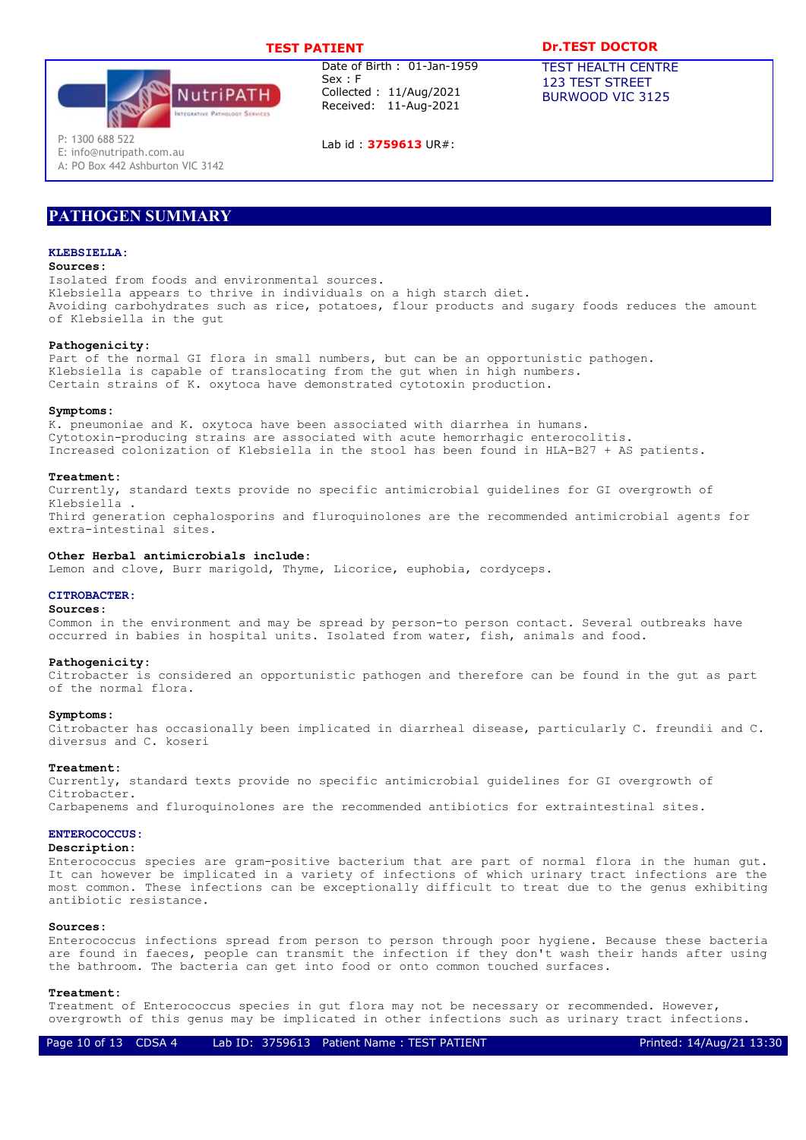

Lab id : 3759613 UR#:

## TEST PATIENT **DR.TEST DOCTOR**

TEST HEALTH CENTRE 123 TEST STREET BURWOOD VIC 3125

P: 1300 688 522

E: info@nutripath.com.au A: PO Box 442 Ashburton VIC 3142

# PATHOGEN SUMMARY

#### KLEBSTELLA·

## Sources:

Isolated from foods and environmental sources. Klebsiella appears to thrive in individuals on a high starch diet. Avoiding carbohydrates such as rice, potatoes, flour products and sugary foods reduces the amount of Klebsiella in the gut

#### Pathogenicity:

Part of the normal GI flora in small numbers, but can be an opportunistic pathogen. Klebsiella is capable of translocating from the gut when in high numbers. Certain strains of K. oxytoca have demonstrated cytotoxin production.

#### Symptoms:

K. pneumoniae and K. oxytoca have been associated with diarrhea in humans. Cytotoxin-producing strains are associated with acute hemorrhagic enterocolitis. Increased colonization of Klebsiella in the stool has been found in HLA-B27 + AS patients.

#### Treatment:

Currently, standard texts provide no specific antimicrobial guidelines for GI overgrowth of Klebsiella . Third generation cephalosporins and fluroquinolones are the recommended antimicrobial agents for

extra-intestinal sites.

#### Other Herbal antimicrobials include:

Lemon and clove, Burr marigold, Thyme, Licorice, euphobia, cordyceps.

#### CITROBACTER:

#### Sources:

Common in the environment and may be spread by person-to person contact. Several outbreaks have occurred in babies in hospital units. Isolated from water, fish, animals and food.

#### Pathogenicity:

Citrobacter is considered an opportunistic pathogen and therefore can be found in the gut as part of the normal flora.

#### Symptoms:

Citrobacter has occasionally been implicated in diarrheal disease, particularly C. freundii and C. diversus and C. koseri

#### Treatment:

Currently, standard texts provide no specific antimicrobial guidelines for GI overgrowth of Citrobacter.

Carbapenems and fluroquinolones are the recommended antibiotics for extraintestinal sites.

## ENTEROCOCCUS:

## Description:

Enterococcus species are gram-positive bacterium that are part of normal flora in the human gut. It can however be implicated in a variety of infections of which urinary tract infections are the most common. These infections can be exceptionally difficult to treat due to the genus exhibiting antibiotic resistance.

## Sources:

Enterococcus infections spread from person to person through poor hygiene. Because these bacteria are found in faeces, people can transmit the infection if they don't wash their hands after using the bathroom. The bacteria can get into food or onto common touched surfaces.

#### Treatment:

Treatment of Enterococcus species in gut flora may not be necessary or recommended. However, overgrowth of this genus may be implicated in other infections such as urinary tract infections.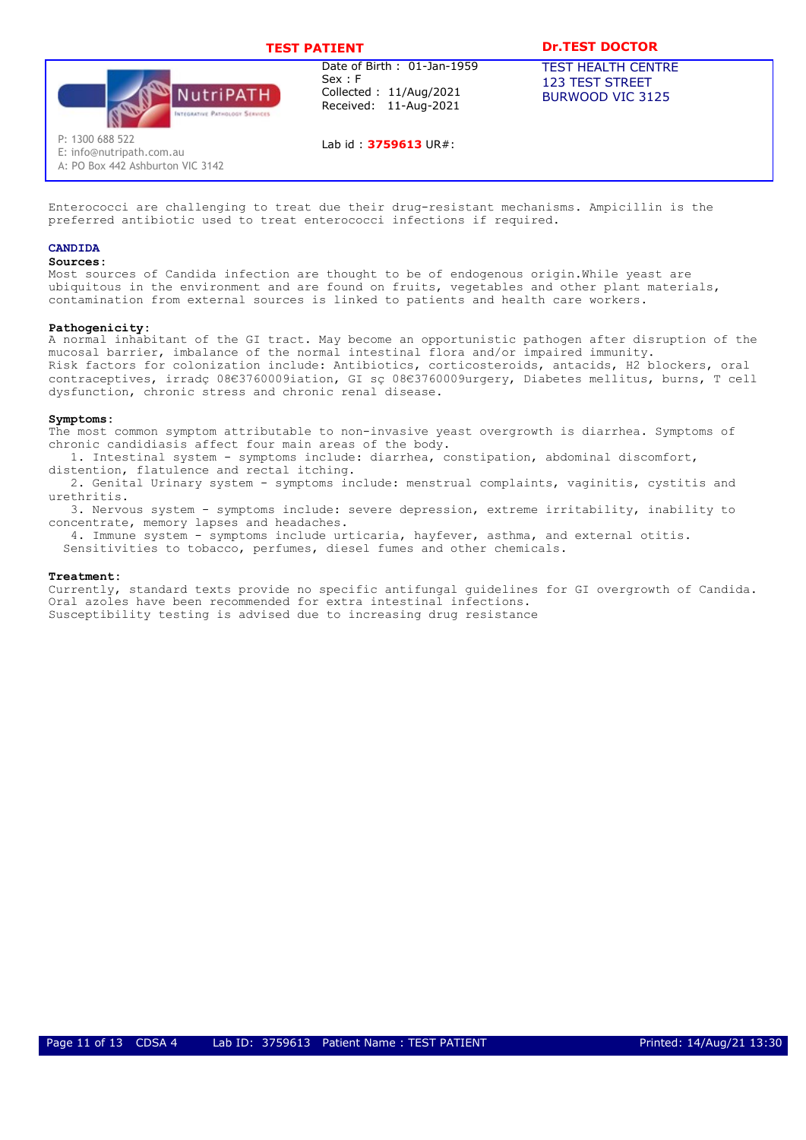

Lab id : 3759613 UR#:

# TEST PATIENT **DESAULT DREST DOCTOR**

TEST HEALTH CENTRE 123 TEST STREET BURWOOD VIC 3125

P: 1300 688 522 E: info@nutripath.com.au

A: PO Box 442 Ashburton VIC 3142

Enterococci are challenging to treat due their drug-resistant mechanisms. Ampicillin is the preferred antibiotic used to treat enterococci infections if required.

## CANDIDA

#### Sources:

Most sources of Candida infection are thought to be of endogenous origin.While yeast are ubiquitous in the environment and are found on fruits, vegetables and other plant materials, contamination from external sources is linked to patients and health care workers.

## Pathogenicity:

A normal inhabitant of the GI tract. May become an opportunistic pathogen after disruption of the mucosal barrier, imbalance of the normal intestinal flora and/or impaired immunity. Risk factors for colonization include: Antibiotics, corticosteroids, antacids, H2 blockers, oral contraceptives, irradç 08€3760009iation, GI sç 08€3760009urgery, Diabetes mellitus, burns, T cell dysfunction, chronic stress and chronic renal disease.

#### Symptoms:

The most common symptom attributable to non-invasive yeast overgrowth is diarrhea. Symptoms of chronic candidiasis affect four main areas of the body.

1. Intestinal system - symptoms include: diarrhea, constipation, abdominal discomfort, distention, flatulence and rectal itching.

2. Genital Urinary system - symptoms include: menstrual complaints, vaginitis, cystitis and urethritis.

3. Nervous system - symptoms include: severe depression, extreme irritability, inability to concentrate, memory lapses and headaches.

4. Immune system - symptoms include urticaria, hayfever, asthma, and external otitis. Sensitivities to tobacco, perfumes, diesel fumes and other chemicals.

#### Treatment:

Currently, standard texts provide no specific antifungal guidelines for GI overgrowth of Candida. Oral azoles have been recommended for extra intestinal infections. Susceptibility testing is advised due to increasing drug resistance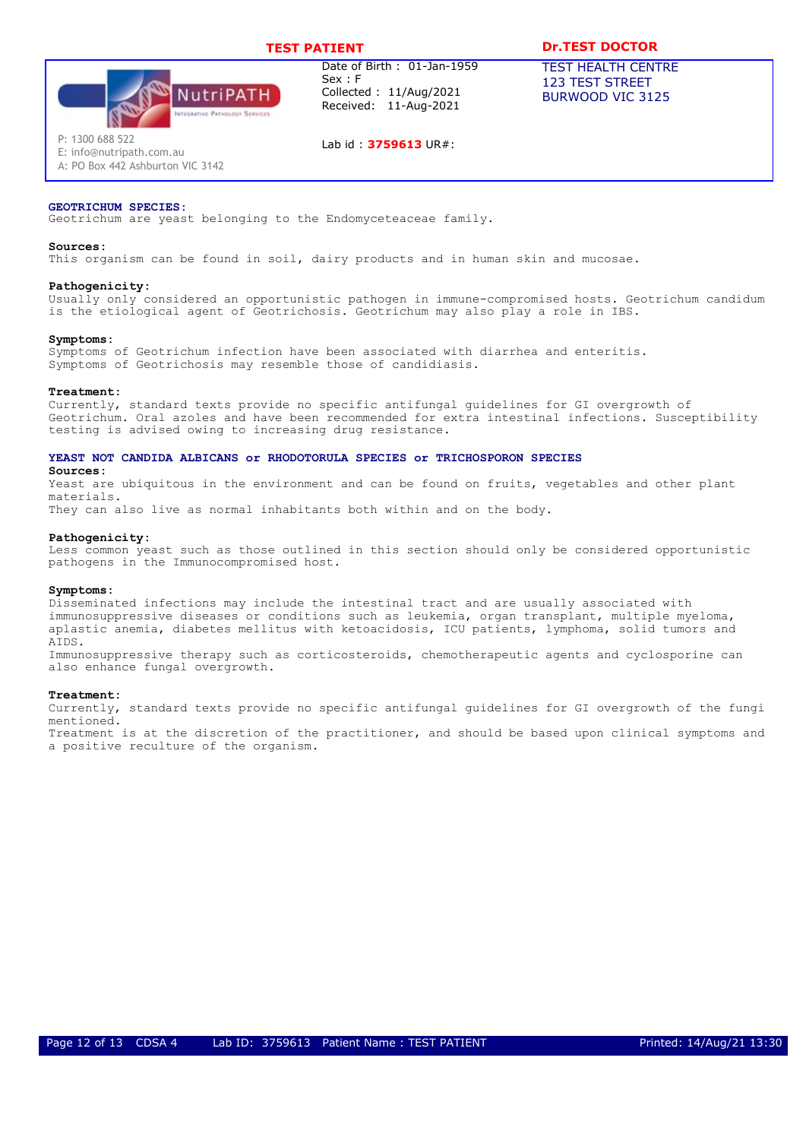

Lab id : 3759613 UR#:

# TEST PATIENT **DESAULT DREST DOCTOR**

TEST HEALTH CENTRE 123 TEST STREET BURWOOD VIC 3125

P: 1300 688 522

E: info@nutripath.com.au A: PO Box 442 Ashburton VIC 3142

## GEOTRICHUM SPECIES:

Geotrichum are yeast belonging to the Endomyceteaceae family.

#### Sources:

This organism can be found in soil, dairy products and in human skin and mucosae.

#### Pathogenicity:

Usually only considered an opportunistic pathogen in immune-compromised hosts. Geotrichum candidum is the etiological agent of Geotrichosis. Geotrichum may also play a role in IBS.

#### Symptoms:

Symptoms of Geotrichum infection have been associated with diarrhea and enteritis. Symptoms of Geotrichosis may resemble those of candidiasis.

#### Treatment:

Sources:

Currently, standard texts provide no specific antifungal guidelines for GI overgrowth of Geotrichum. Oral azoles and have been recommended for extra intestinal infections. Susceptibility testing is advised owing to increasing drug resistance.

#### YEAST NOT CANDIDA ALBICANS or RHODOTORULA SPECIES or TRICHOSPORON SPECIES

Yeast are ubiquitous in the environment and can be found on fruits, vegetables and other plant materials.

They can also live as normal inhabitants both within and on the body.

#### Pathogenicity:

Less common yeast such as those outlined in this section should only be considered opportunistic pathogens in the Immunocompromised host.

#### Symptoms:

Disseminated infections may include the intestinal tract and are usually associated with immunosuppressive diseases or conditions such as leukemia, organ transplant, multiple myeloma, aplastic anemia, diabetes mellitus with ketoacidosis, ICU patients, lymphoma, solid tumors and AIDS.

Immunosuppressive therapy such as corticosteroids, chemotherapeutic agents and cyclosporine can also enhance fungal overgrowth.

#### Treatment:

Currently, standard texts provide no specific antifungal guidelines for GI overgrowth of the fungi mentioned.

Treatment is at the discretion of the practitioner, and should be based upon clinical symptoms and a positive reculture of the organism.